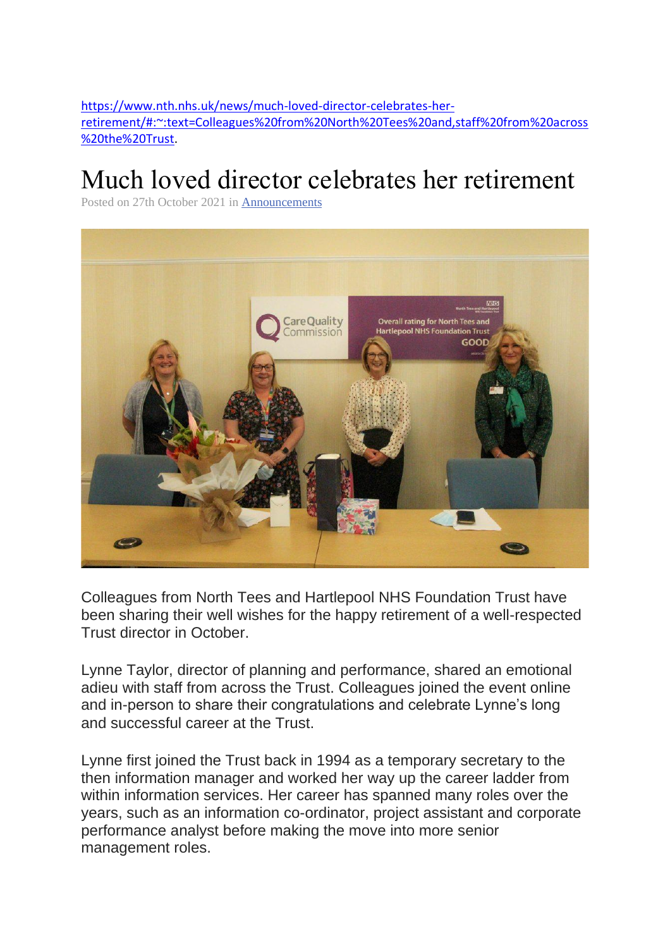[https://www.nth.nhs.uk/news/much-loved-director-celebrates-her](https://www.nth.nhs.uk/news/much-loved-director-celebrates-her-retirement/#:~:text=Colleagues%20from%20North%20Tees%20and,staff%20from%20across%20the%20Trust)[retirement/#:~:text=Colleagues%20from%20North%20Tees%20and,staff%20from%20across](https://www.nth.nhs.uk/news/much-loved-director-celebrates-her-retirement/#:~:text=Colleagues%20from%20North%20Tees%20and,staff%20from%20across%20the%20Trust) [%20the%20Trust.](https://www.nth.nhs.uk/news/much-loved-director-celebrates-her-retirement/#:~:text=Colleagues%20from%20North%20Tees%20and,staff%20from%20across%20the%20Trust)

## Much loved director celebrates her retirement

Posted on 27th October 2021 in [Announcements](https://www.nth.nhs.uk/news/category/announcements/)



Colleagues from North Tees and Hartlepool NHS Foundation Trust have been sharing their well wishes for the happy retirement of a well-respected Trust director in October.

Lynne Taylor, director of planning and performance, shared an emotional adieu with staff from across the Trust. Colleagues joined the event online and in-person to share their congratulations and celebrate Lynne's long and successful career at the Trust.

Lynne first joined the Trust back in 1994 as a temporary secretary to the then information manager and worked her way up the career ladder from within information services. Her career has spanned many roles over the years, such as an information co-ordinator, project assistant and corporate performance analyst before making the move into more senior management roles.